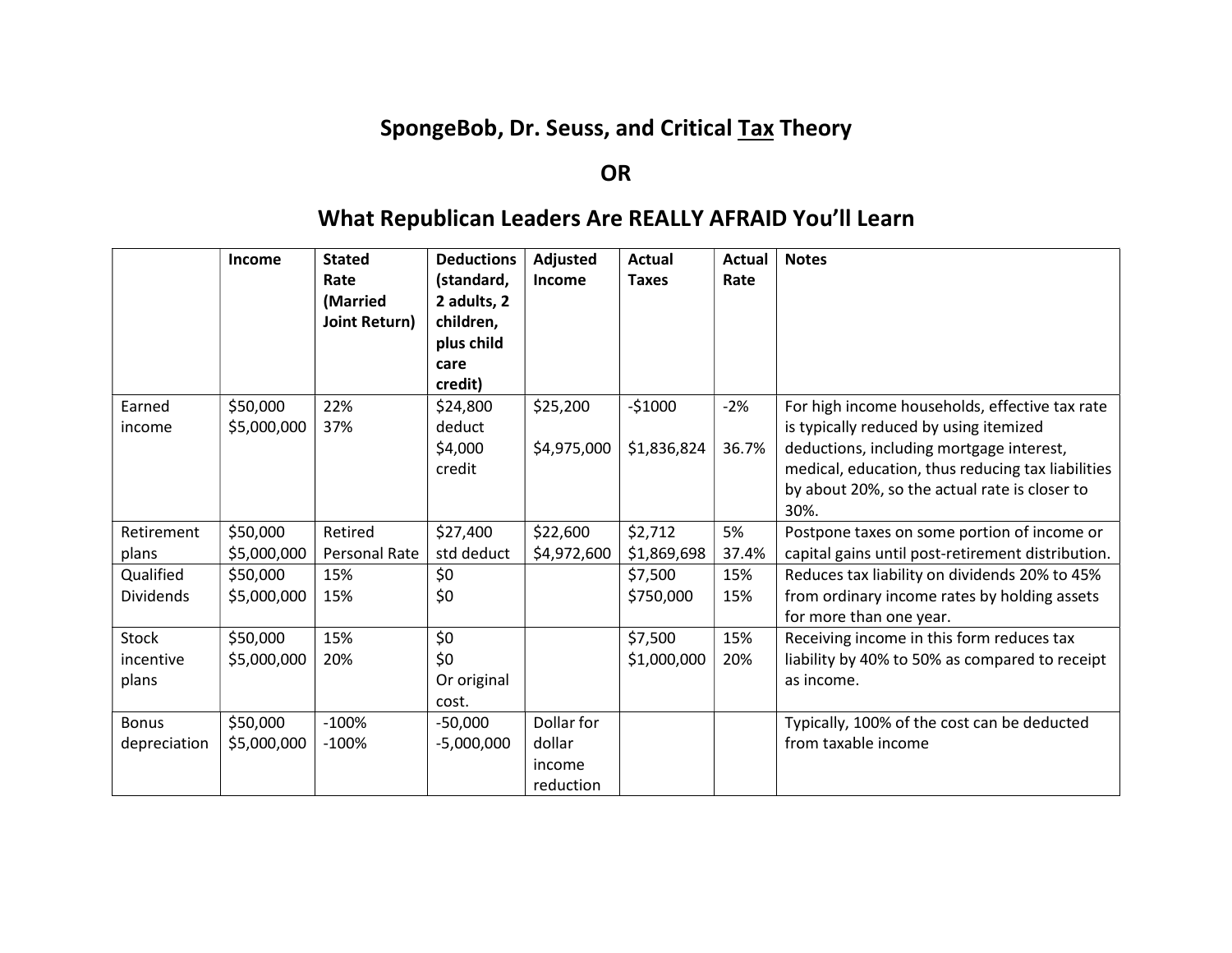# SpongeBob, Dr. Seuss, and Critical Tax Theory

## OR

# What Republican Leaders Are REALLY AFRAID You'll Learn

|                  | <b>Income</b>           | <b>Stated</b><br>Rate<br>(Married<br>Joint Return) | <b>Deductions</b><br>(standard,<br>2 adults, 2<br>children,<br>plus child<br>care<br>credit) | Adjusted<br>Income      | <b>Actual</b><br><b>Taxes</b> | <b>Actual</b><br>Rate | <b>Notes</b>                                                                                                                                                                                                                                       |
|------------------|-------------------------|----------------------------------------------------|----------------------------------------------------------------------------------------------|-------------------------|-------------------------------|-----------------------|----------------------------------------------------------------------------------------------------------------------------------------------------------------------------------------------------------------------------------------------------|
| Earned<br>income | \$50,000<br>\$5,000,000 | 22%<br>37%                                         | \$24,800<br>deduct<br>\$4,000<br>credit                                                      | \$25,200<br>\$4,975,000 | $-51000$<br>\$1,836,824       | $-2%$<br>36.7%        | For high income households, effective tax rate<br>is typically reduced by using itemized<br>deductions, including mortgage interest,<br>medical, education, thus reducing tax liabilities<br>by about 20%, so the actual rate is closer to<br>30%. |
| Retirement       | \$50,000                | Retired                                            | \$27,400                                                                                     | \$22,600                | \$2,712                       | 5%                    | Postpone taxes on some portion of income or                                                                                                                                                                                                        |
| plans            | \$5,000,000             | Personal Rate                                      | std deduct                                                                                   | \$4,972,600             | \$1,869,698                   | 37.4%                 | capital gains until post-retirement distribution.                                                                                                                                                                                                  |
| Qualified        | \$50,000                | 15%                                                | \$0                                                                                          |                         | \$7,500                       | 15%                   | Reduces tax liability on dividends 20% to 45%                                                                                                                                                                                                      |
| <b>Dividends</b> | \$5,000,000             | 15%                                                | \$0                                                                                          |                         | \$750,000                     | 15%                   | from ordinary income rates by holding assets<br>for more than one year.                                                                                                                                                                            |
| <b>Stock</b>     | \$50,000                | 15%                                                | \$0                                                                                          |                         | \$7,500                       | 15%                   | Receiving income in this form reduces tax                                                                                                                                                                                                          |
| incentive        | \$5,000,000             | 20%                                                | \$0                                                                                          |                         | \$1,000,000                   | 20%                   | liability by 40% to 50% as compared to receipt                                                                                                                                                                                                     |
| plans            |                         |                                                    | Or original                                                                                  |                         |                               |                       | as income.                                                                                                                                                                                                                                         |
|                  |                         |                                                    | cost.                                                                                        |                         |                               |                       |                                                                                                                                                                                                                                                    |
| <b>Bonus</b>     | \$50,000                | $-100%$                                            | $-50,000$                                                                                    | Dollar for              |                               |                       | Typically, 100% of the cost can be deducted                                                                                                                                                                                                        |
| depreciation     | \$5,000,000             | $-100\%$                                           | $-5,000,000$                                                                                 | dollar                  |                               |                       | from taxable income                                                                                                                                                                                                                                |
|                  |                         |                                                    |                                                                                              | income<br>reduction     |                               |                       |                                                                                                                                                                                                                                                    |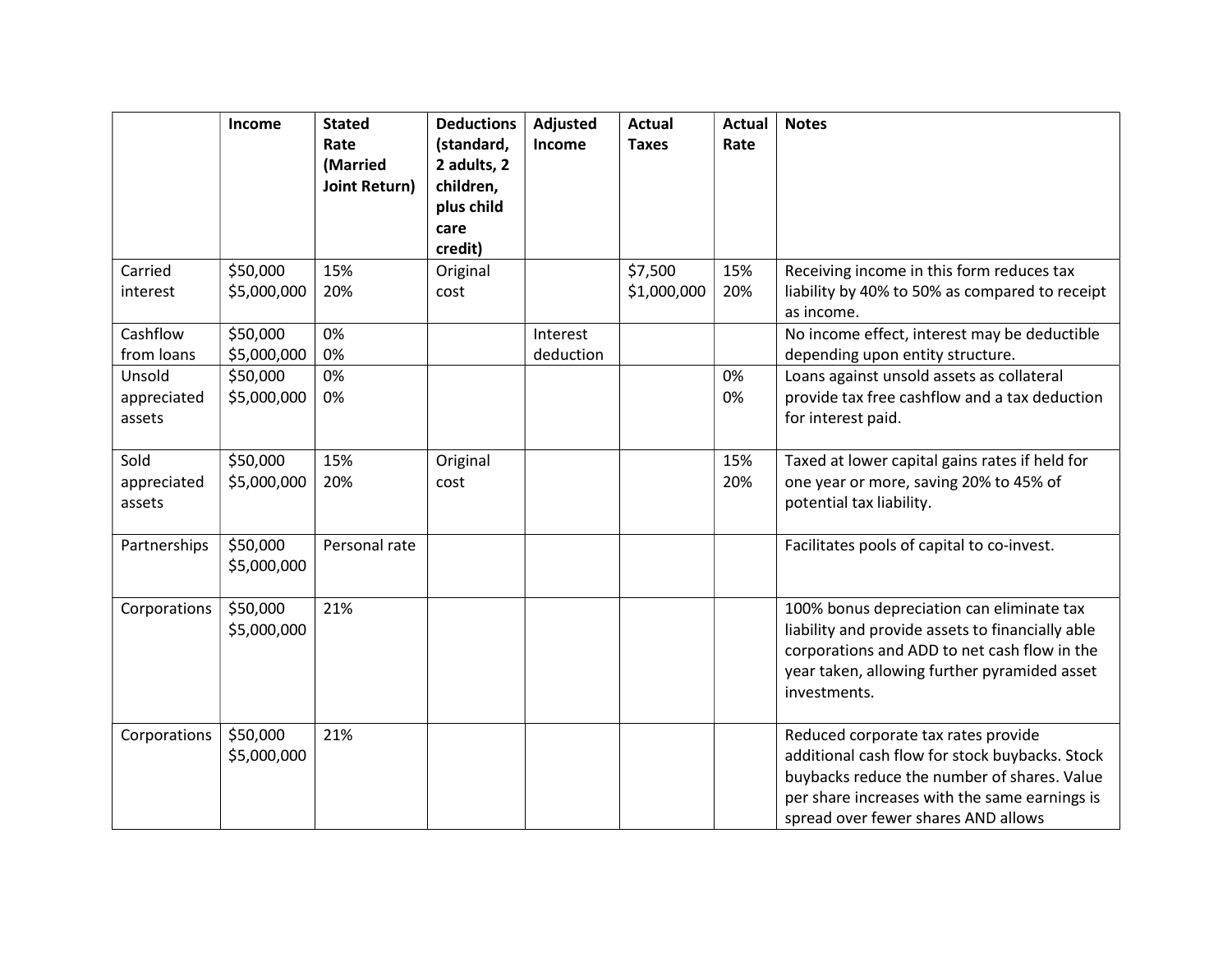|                       | Income                  | <b>Stated</b><br>Rate<br>(Married<br>Joint Return) | <b>Deductions</b><br>(standard,<br>2 adults, 2<br>children,<br>plus child<br>care<br>credit) | Adjusted<br>Income | <b>Actual</b><br><b>Taxes</b> | <b>Actual</b><br>Rate | <b>Notes</b>                                                                                                                                                                                                                 |
|-----------------------|-------------------------|----------------------------------------------------|----------------------------------------------------------------------------------------------|--------------------|-------------------------------|-----------------------|------------------------------------------------------------------------------------------------------------------------------------------------------------------------------------------------------------------------------|
| Carried               | \$50,000                | 15%                                                | Original                                                                                     |                    | \$7,500                       | 15%                   | Receiving income in this form reduces tax                                                                                                                                                                                    |
| interest              | \$5,000,000             | 20%                                                | cost                                                                                         |                    | \$1,000,000                   | 20%                   | liability by 40% to 50% as compared to receipt<br>as income.                                                                                                                                                                 |
| Cashflow              | \$50,000                | 0%                                                 |                                                                                              | Interest           |                               |                       | No income effect, interest may be deductible                                                                                                                                                                                 |
| from loans            | \$5,000,000             | 0%                                                 |                                                                                              | deduction          |                               |                       | depending upon entity structure.                                                                                                                                                                                             |
| Unsold                | \$50,000                | 0%                                                 |                                                                                              |                    |                               | 0%                    | Loans against unsold assets as collateral                                                                                                                                                                                    |
| appreciated<br>assets | \$5,000,000             | 0%                                                 |                                                                                              |                    |                               | 0%                    | provide tax free cashflow and a tax deduction<br>for interest paid.                                                                                                                                                          |
| Sold                  | \$50,000                | 15%                                                | Original                                                                                     |                    |                               | 15%                   | Taxed at lower capital gains rates if held for                                                                                                                                                                               |
| appreciated<br>assets | \$5,000,000             | 20%                                                | cost                                                                                         |                    |                               | 20%                   | one year or more, saving 20% to 45% of<br>potential tax liability.                                                                                                                                                           |
| Partnerships          | \$50,000<br>\$5,000,000 | Personal rate                                      |                                                                                              |                    |                               |                       | Facilitates pools of capital to co-invest.                                                                                                                                                                                   |
| Corporations          | \$50,000<br>\$5,000,000 | 21%                                                |                                                                                              |                    |                               |                       | 100% bonus depreciation can eliminate tax<br>liability and provide assets to financially able<br>corporations and ADD to net cash flow in the<br>year taken, allowing further pyramided asset<br>investments.                |
| Corporations          | \$50,000<br>\$5,000,000 | 21%                                                |                                                                                              |                    |                               |                       | Reduced corporate tax rates provide<br>additional cash flow for stock buybacks. Stock<br>buybacks reduce the number of shares. Value<br>per share increases with the same earnings is<br>spread over fewer shares AND allows |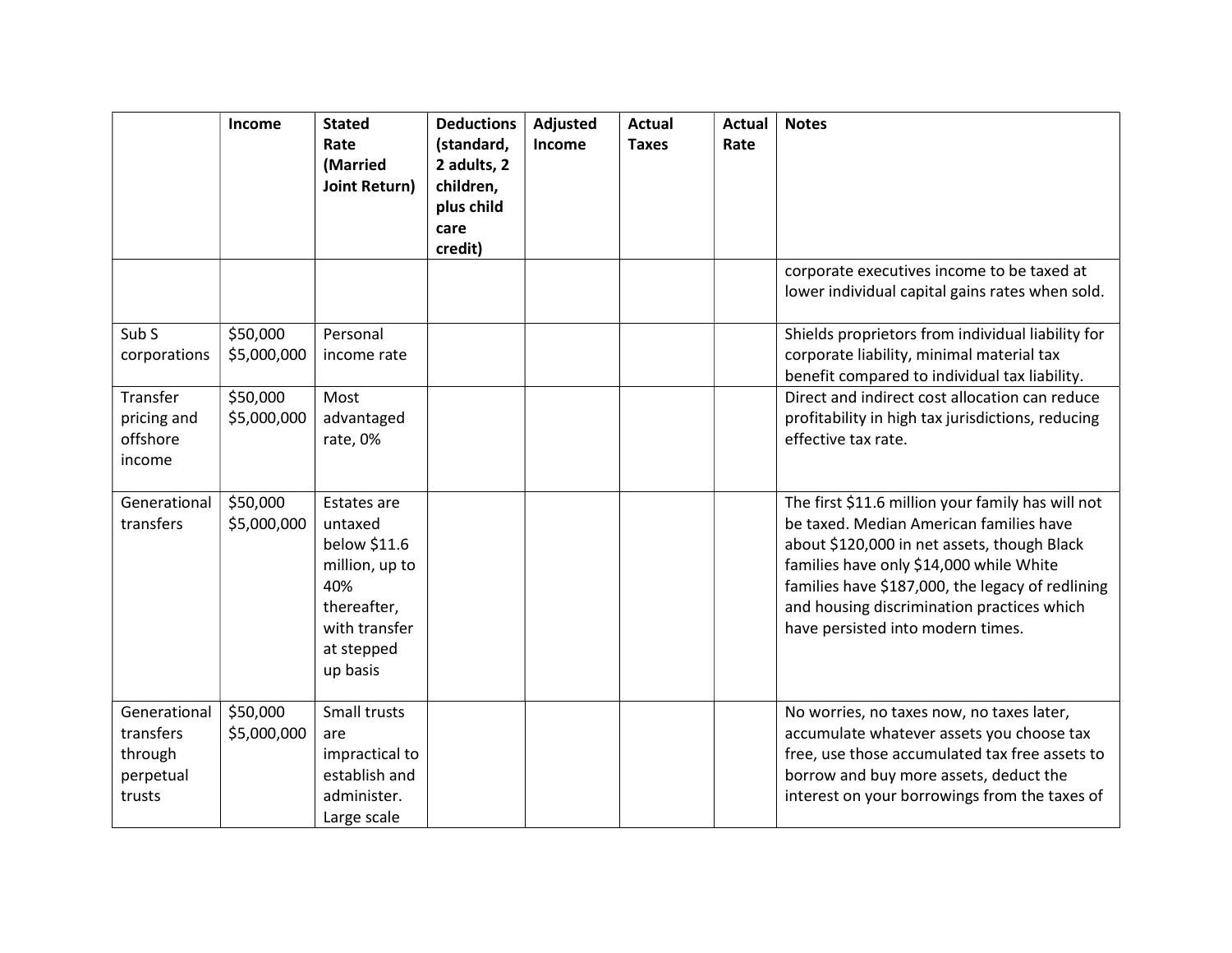|                                                             | Income                  | <b>Stated</b><br>Rate<br>(Married<br>Joint Return)                                                                        | <b>Deductions</b><br>(standard,<br>2 adults, 2<br>children,<br>plus child<br>care | Adjusted<br>Income | <b>Actual</b><br><b>Taxes</b> | <b>Actual</b><br>Rate | <b>Notes</b>                                                                                                                                                                                                                                                                                                                  |
|-------------------------------------------------------------|-------------------------|---------------------------------------------------------------------------------------------------------------------------|-----------------------------------------------------------------------------------|--------------------|-------------------------------|-----------------------|-------------------------------------------------------------------------------------------------------------------------------------------------------------------------------------------------------------------------------------------------------------------------------------------------------------------------------|
|                                                             |                         |                                                                                                                           | credit)                                                                           |                    |                               |                       |                                                                                                                                                                                                                                                                                                                               |
|                                                             |                         |                                                                                                                           |                                                                                   |                    |                               |                       | corporate executives income to be taxed at<br>lower individual capital gains rates when sold.                                                                                                                                                                                                                                 |
| Sub <sub>S</sub><br>corporations                            | \$50,000<br>\$5,000,000 | Personal<br>income rate                                                                                                   |                                                                                   |                    |                               |                       | Shields proprietors from individual liability for<br>corporate liability, minimal material tax<br>benefit compared to individual tax liability.                                                                                                                                                                               |
| Transfer<br>pricing and<br>offshore<br>income               | \$50,000<br>\$5,000,000 | Most<br>advantaged<br>rate, 0%                                                                                            |                                                                                   |                    |                               |                       | Direct and indirect cost allocation can reduce<br>profitability in high tax jurisdictions, reducing<br>effective tax rate.                                                                                                                                                                                                    |
| Generational<br>transfers                                   | \$50,000<br>\$5,000,000 | Estates are<br>untaxed<br>below \$11.6<br>million, up to<br>40%<br>thereafter,<br>with transfer<br>at stepped<br>up basis |                                                                                   |                    |                               |                       | The first \$11.6 million your family has will not<br>be taxed. Median American families have<br>about \$120,000 in net assets, though Black<br>families have only \$14,000 while White<br>families have \$187,000, the legacy of redlining<br>and housing discrimination practices which<br>have persisted into modern times. |
| Generational<br>transfers<br>through<br>perpetual<br>trusts | \$50,000<br>\$5,000,000 | Small trusts<br>are<br>impractical to<br>establish and<br>administer.<br>Large scale                                      |                                                                                   |                    |                               |                       | No worries, no taxes now, no taxes later,<br>accumulate whatever assets you choose tax<br>free, use those accumulated tax free assets to<br>borrow and buy more assets, deduct the<br>interest on your borrowings from the taxes of                                                                                           |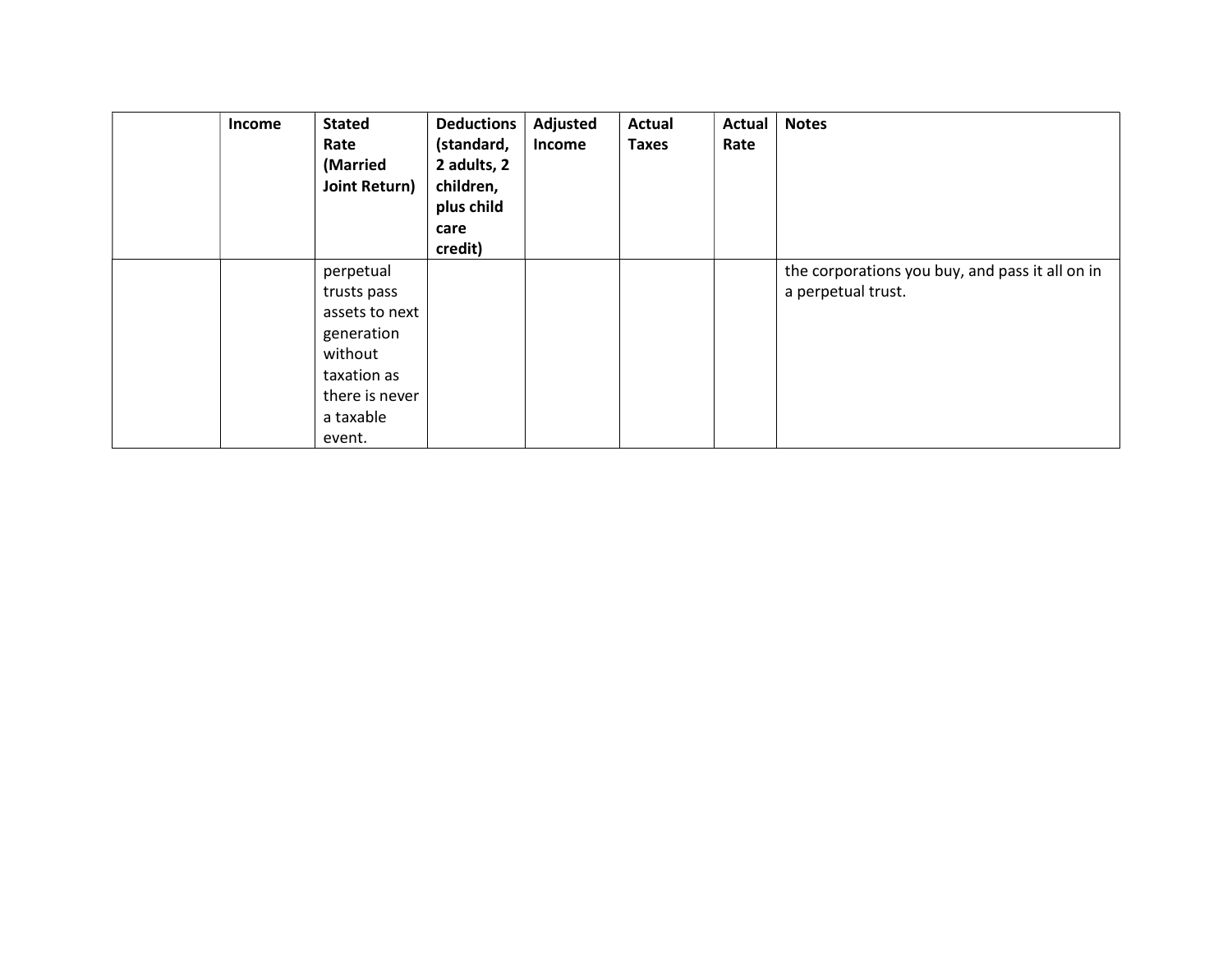| <b>Income</b> | <b>Stated</b><br>Rate<br>(Married<br>Joint Return)                                                                          | <b>Deductions</b><br>(standard,<br>2 adults, 2<br>children,<br>plus child<br>care<br>credit) | Adjusted<br>Income | Actual<br><b>Taxes</b> | Actual<br>Rate | <b>Notes</b>                                                          |
|---------------|-----------------------------------------------------------------------------------------------------------------------------|----------------------------------------------------------------------------------------------|--------------------|------------------------|----------------|-----------------------------------------------------------------------|
|               | perpetual<br>trusts pass<br>assets to next<br>generation<br>without<br>taxation as<br>there is never<br>a taxable<br>event. |                                                                                              |                    |                        |                | the corporations you buy, and pass it all on in<br>a perpetual trust. |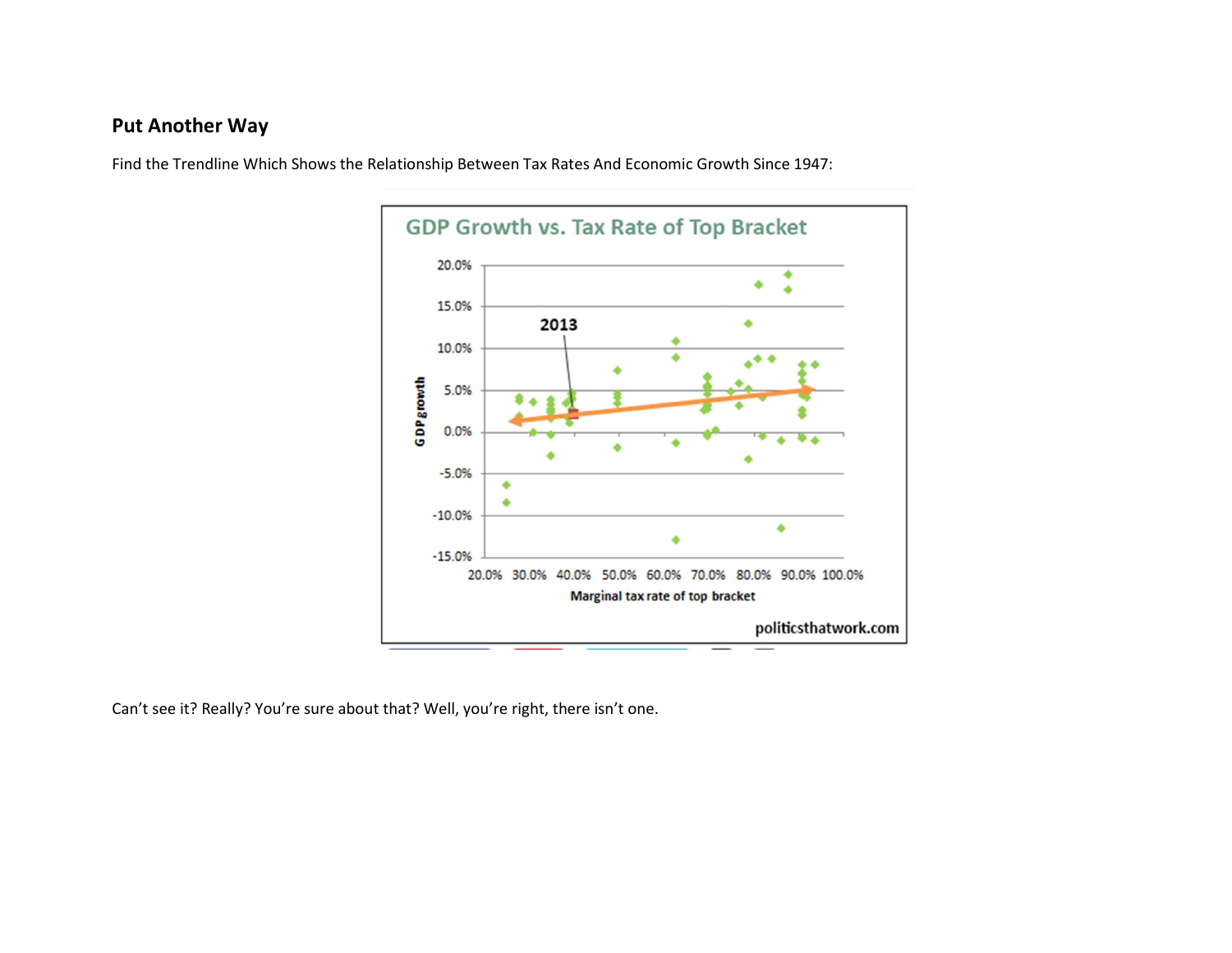### Put Another Way



Find the Trendline Which Shows the Relationship Between Tax Rates And Economic Growth Since 1947:

Can't see it? Really? You're sure about that? Well, you're right, there isn't one.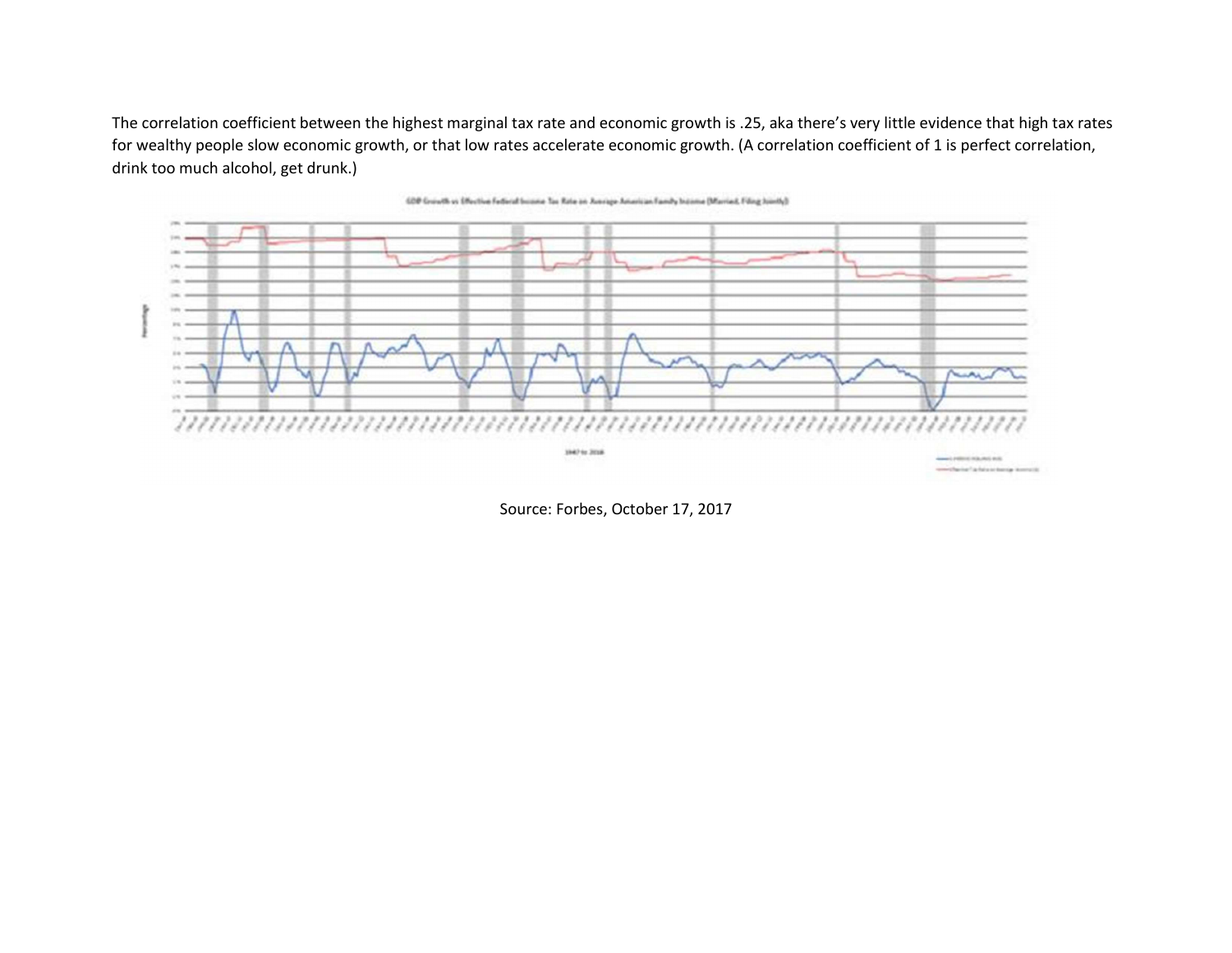The correlation coefficient between the highest marginal tax rate and economic growth is .25, aka there's very little evidence that high tax rates for wealthy people slow economic growth, or that low rates accelerate economic growth. (A correlation coefficient of 1 is perfect correlation, drink too much alcohol, get drunk.)





Source: Forbes, October 17, 2017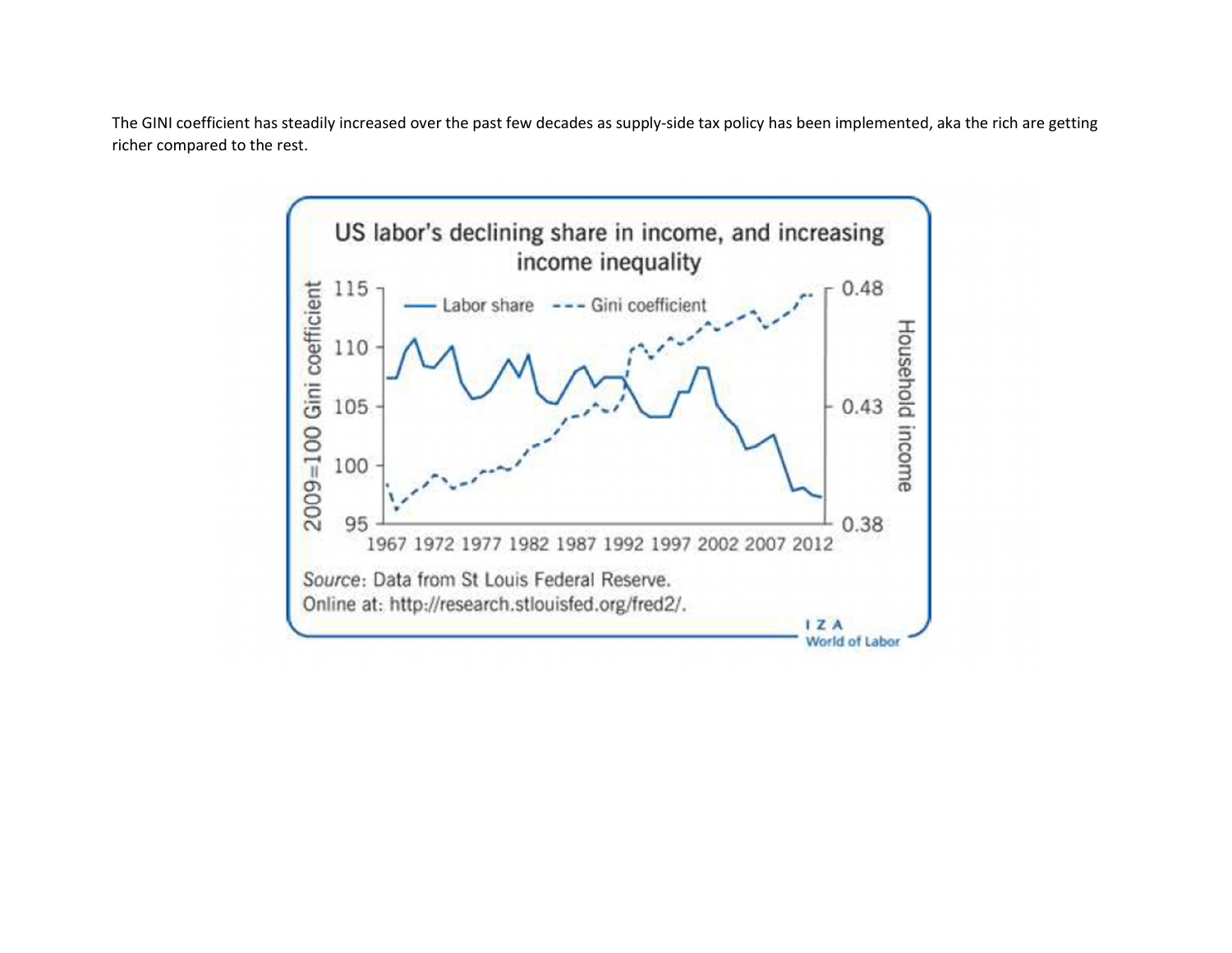The GINI coefficient has steadily increased over the past few decades as supply-side tax policy has been implemented, aka the rich are getting richer compared to the rest.